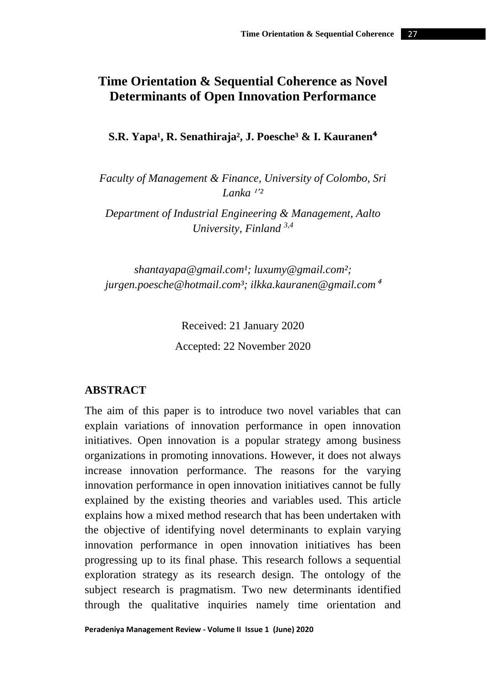# **Time Orientation & Sequential Coherence as Novel Determinants of Open Innovation Performance**

**S.R. Yapa<sup>1</sup>, R. Senathiraja<sup>2</sup>, J. Poesche<sup>3</sup> & I. Kauranen<sup>4</sup>** 

*Faculty of Management & Finance, University of Colombo, Sri*  Lanka<sup>1'2</sup>

*Department of Industrial Engineering & Management, Aalto University, Finland 3,4*

*shantayapa@gmail.com¹; luxumy@gmail.com²; jurgen.poesche@hotmail.com³; ilkka.kauranen@gmail.com*<sup>⁴</sup>

> Received: 21 January 2020 Accepted: 22 November 2020

# **ABSTRACT**

The aim of this paper is to introduce two novel variables that can explain variations of innovation performance in open innovation initiatives. Open innovation is a popular strategy among business organizations in promoting innovations. However, it does not always increase innovation performance. The reasons for the varying innovation performance in open innovation initiatives cannot be fully explained by the existing theories and variables used. This article explains how a mixed method research that has been undertaken with the objective of identifying novel determinants to explain varying innovation performance in open innovation initiatives has been progressing up to its final phase. This research follows a sequential exploration strategy as its research design. The ontology of the subject research is pragmatism. Two new determinants identified through the qualitative inquiries namely time orientation and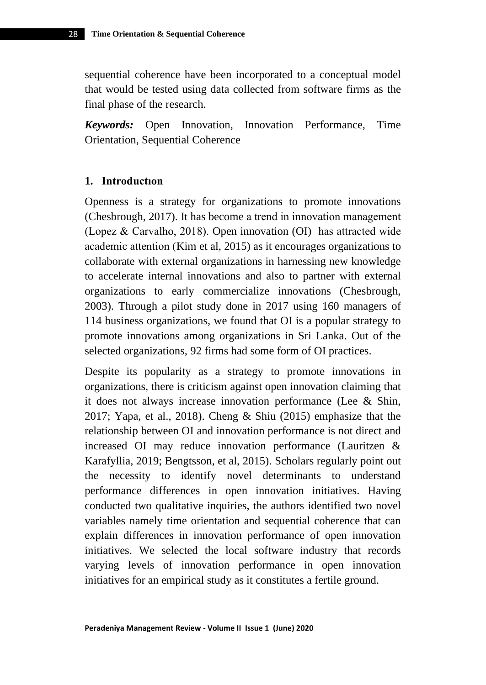sequential coherence have been incorporated to a conceptual model that would be tested using data collected from software firms as the final phase of the research.

*Keywords:* Open Innovation, Innovation Performance, Time Orientation, Sequential Coherence

#### **1. Introductıon**

Openness is a strategy for organizations to promote innovations (Chesbrough, 2017). It has become a trend in innovation management (Lopez & Carvalho, 2018). Open innovation (OI) has attracted wide academic attention (Kim et al, 2015) as it encourages organizations to collaborate with external organizations in harnessing new knowledge to accelerate internal innovations and also to partner with external organizations to early commercialize innovations (Chesbrough, 2003). Through a pilot study done in 2017 using 160 managers of 114 business organizations, we found that OI is a popular strategy to promote innovations among organizations in Sri Lanka. Out of the selected organizations, 92 firms had some form of OI practices.

Despite its popularity as a strategy to promote innovations in organizations, there is criticism against open innovation claiming that it does not always increase innovation performance (Lee & Shin, 2017; Yapa, et al., 2018). Cheng & Shiu (2015) emphasize that the relationship between OI and innovation performance is not direct and increased OI may reduce innovation performance (Lauritzen & Karafyllia, 2019; Bengtsson, et al, 2015). Scholars regularly point out the necessity to identify novel determinants to understand performance differences in open innovation initiatives. Having conducted two qualitative inquiries, the authors identified two novel variables namely time orientation and sequential coherence that can explain differences in innovation performance of open innovation initiatives. We selected the local software industry that records varying levels of innovation performance in open innovation initiatives for an empirical study as it constitutes a fertile ground.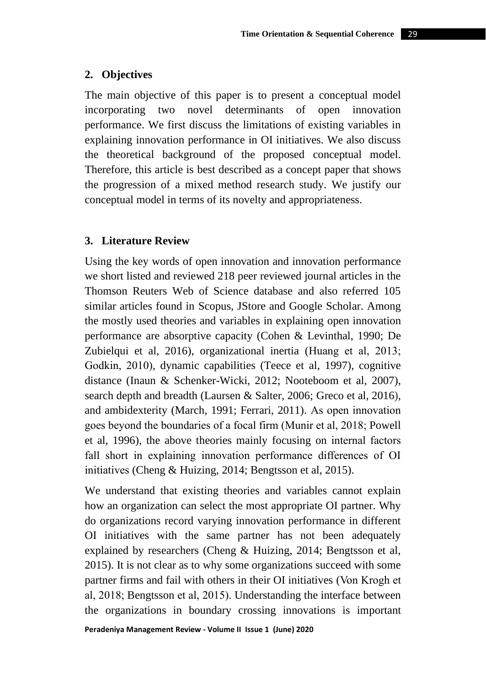### **2. Objectives**

The main objective of this paper is to present a conceptual model incorporating two novel determinants of open innovation performance. We first discuss the limitations of existing variables in explaining innovation performance in OI initiatives. We also discuss the theoretical background of the proposed conceptual model. Therefore, this article is best described as a concept paper that shows the progression of a mixed method research study. We justify our conceptual model in terms of its novelty and appropriateness.

# **3. Literature Review**

Using the key words of open innovation and innovation performance we short listed and reviewed 218 peer reviewed journal articles in the Thomson Reuters Web of Science database and also referred 105 similar articles found in Scopus, JStore and Google Scholar. Among the mostly used theories and variables in explaining open innovation performance are absorptive capacity (Cohen & Levinthal, 1990; De Zubielqui et al, 2016), organizational inertia (Huang et al, 2013; Godkin, 2010), dynamic capabilities (Teece et al, 1997), cognitive distance (Inaun & Schenker-Wicki, 2012; Nooteboom et al, 2007), search depth and breadth (Laursen & Salter, 2006; Greco et al, 2016), and ambidexterity (March, 1991; Ferrari, 2011). As open innovation goes beyond the boundaries of a focal firm (Munir et al, 2018; Powell et al, 1996), the above theories mainly focusing on internal factors fall short in explaining innovation performance differences of OI initiatives (Cheng & Huizing, 2014; Bengtsson et al, 2015).

We understand that existing theories and variables cannot explain how an organization can select the most appropriate OI partner. Why do organizations record varying innovation performance in different OI initiatives with the same partner has not been adequately explained by researchers (Cheng & Huizing, 2014; Bengtsson et al, 2015). It is not clear as to why some organizations succeed with some partner firms and fail with others in their OI initiatives (Von Krogh et al, 2018; Bengtsson et al, 2015). Understanding the interface between the organizations in boundary crossing innovations is important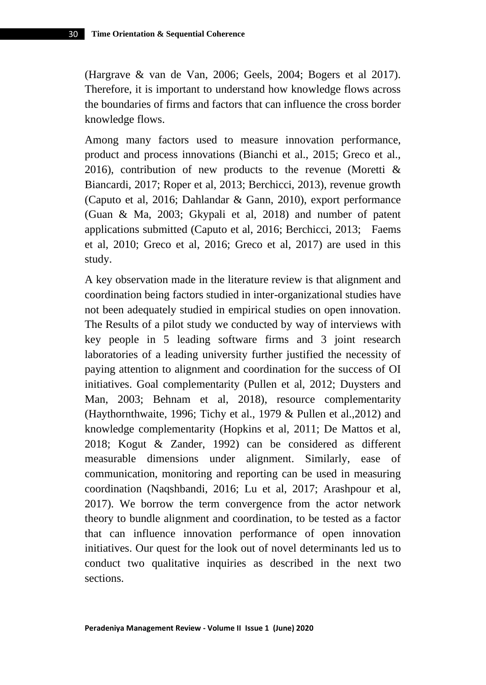(Hargrave & van de Van, 2006; Geels, 2004; Bogers et al 2017). Therefore, it is important to understand how knowledge flows across the boundaries of firms and factors that can influence the cross border knowledge flows.

Among many factors used to measure innovation performance, product and process innovations (Bianchi et al., 2015; Greco et al., 2016), contribution of new products to the revenue (Moretti  $\&$ Biancardi, 2017; Roper et al, 2013; Berchicci, 2013), revenue growth (Caputo et al, 2016; Dahlandar & Gann, 2010), export performance (Guan & Ma, 2003; Gkypali et al, 2018) and number of patent applications submitted (Caputo et al, 2016; Berchicci, 2013; Faems et al, 2010; Greco et al, 2016; Greco et al, 2017) are used in this study.

A key observation made in the literature review is that alignment and coordination being factors studied in inter-organizational studies have not been adequately studied in empirical studies on open innovation. The Results of a pilot study we conducted by way of interviews with key people in 5 leading software firms and 3 joint research laboratories of a leading university further justified the necessity of paying attention to alignment and coordination for the success of OI initiatives. Goal complementarity (Pullen et al, 2012; Duysters and Man, 2003; Behnam et al, 2018), resource complementarity (Haythornthwaite, 1996; Tichy et al., 1979 & Pullen et al.,2012) and knowledge complementarity (Hopkins et al, 2011; De Mattos et al, 2018; Kogut & Zander, 1992) can be considered as different measurable dimensions under alignment. Similarly, ease of communication, monitoring and reporting can be used in measuring coordination (Naqshbandi, 2016; Lu et al, 2017; Arashpour et al, 2017). We borrow the term convergence from the actor network theory to bundle alignment and coordination, to be tested as a factor that can influence innovation performance of open innovation initiatives. Our quest for the look out of novel determinants led us to conduct two qualitative inquiries as described in the next two sections.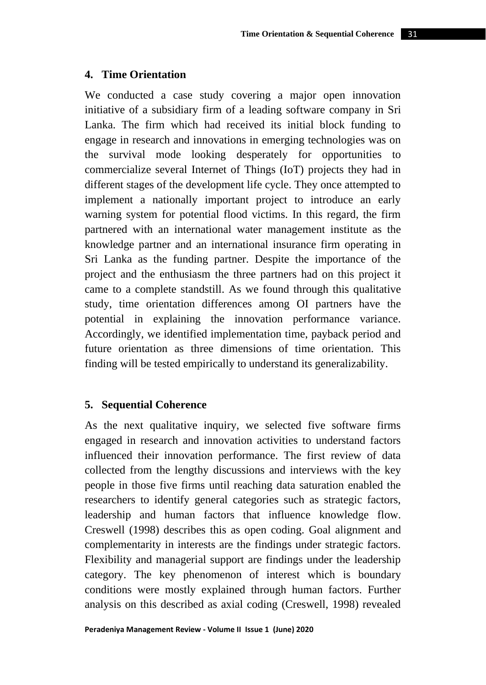### **4. Time Orientation**

We conducted a case study covering a major open innovation initiative of a subsidiary firm of a leading software company in Sri Lanka. The firm which had received its initial block funding to engage in research and innovations in emerging technologies was on the survival mode looking desperately for opportunities to commercialize several Internet of Things (IoT) projects they had in different stages of the development life cycle. They once attempted to implement a nationally important project to introduce an early warning system for potential flood victims. In this regard, the firm partnered with an international water management institute as the knowledge partner and an international insurance firm operating in Sri Lanka as the funding partner. Despite the importance of the project and the enthusiasm the three partners had on this project it came to a complete standstill. As we found through this qualitative study, time orientation differences among OI partners have the potential in explaining the innovation performance variance. Accordingly, we identified implementation time, payback period and future orientation as three dimensions of time orientation. This finding will be tested empirically to understand its generalizability.

# **5. Sequential Coherence**

As the next qualitative inquiry, we selected five software firms engaged in research and innovation activities to understand factors influenced their innovation performance. The first review of data collected from the lengthy discussions and interviews with the key people in those five firms until reaching data saturation enabled the researchers to identify general categories such as strategic factors, leadership and human factors that influence knowledge flow. Creswell (1998) describes this as open coding. Goal alignment and complementarity in interests are the findings under strategic factors. Flexibility and managerial support are findings under the leadership category. The key phenomenon of interest which is boundary conditions were mostly explained through human factors. Further analysis on this described as axial coding (Creswell, 1998) revealed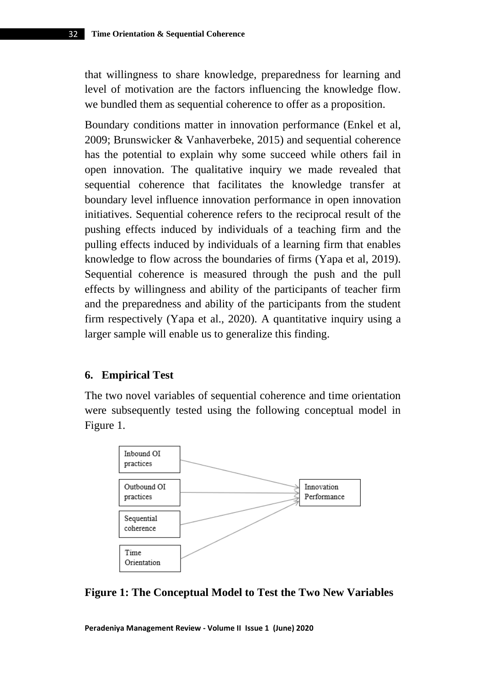that willingness to share knowledge, preparedness for learning and level of motivation are the factors influencing the knowledge flow. we bundled them as sequential coherence to offer as a proposition.

Boundary conditions matter in innovation performance (Enkel et al, 2009; Brunswicker & Vanhaverbeke, 2015) and sequential coherence has the potential to explain why some succeed while others fail in open innovation. The qualitative inquiry we made revealed that sequential coherence that facilitates the knowledge transfer at boundary level influence innovation performance in open innovation initiatives. Sequential coherence refers to the reciprocal result of the pushing effects induced by individuals of a teaching firm and the pulling effects induced by individuals of a learning firm that enables knowledge to flow across the boundaries of firms (Yapa et al, 2019). Sequential coherence is measured through the push and the pull effects by willingness and ability of the participants of teacher firm and the preparedness and ability of the participants from the student firm respectively (Yapa et al., 2020). A quantitative inquiry using a larger sample will enable us to generalize this finding.

#### **6. Empirical Test**

The two novel variables of sequential coherence and time orientation were subsequently tested using the following conceptual model in Figure 1.



**Figure 1: The Conceptual Model to Test the Two New Variables**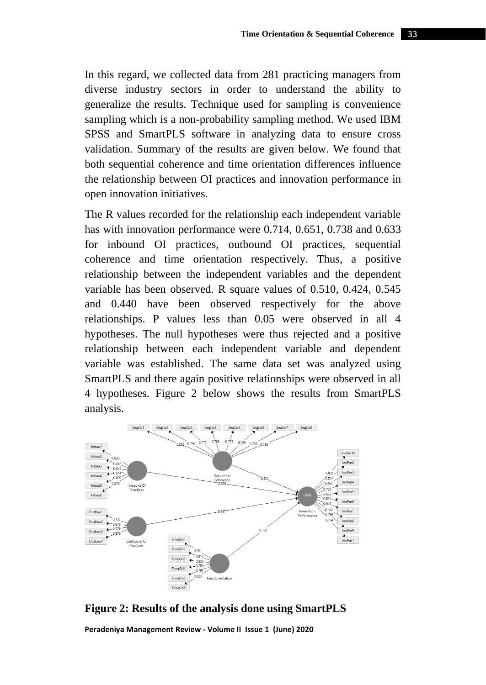In this regard, we collected data from 281 practicing managers from diverse industry sectors in order to understand the ability to generalize the results. Technique used for sampling is convenience sampling which is a non-probability sampling method. We used IBM SPSS and SmartPLS software in analyzing data to ensure cross validation. Summary of the results are given below. We found that both sequential coherence and time orientation differences influence the relationship between OI practices and innovation performance in open innovation initiatives.

The R values recorded for the relationship each independent variable has with innovation performance were 0.714, 0.651, 0.738 and 0.633 for inbound OI practices, outbound OI practices, sequential coherence and time orientation respectively. Thus, a positive relationship between the independent variables and the dependent variable has been observed. R square values of 0.510, 0.424, 0.545 and 0.440 have been observed respectively for the above relationships. P values less than 0.05 were observed in all 4 hypotheses. The null hypotheses were thus rejected and a positive relationship between each independent variable and dependent variable was established. The same data set was analyzed using SmartPLS and there again positive relationships were observed in all 4 hypotheses. Figure 2 below shows the results from SmartPLS analysis.



**Figure 2: Results of the analysis done using SmartPLS**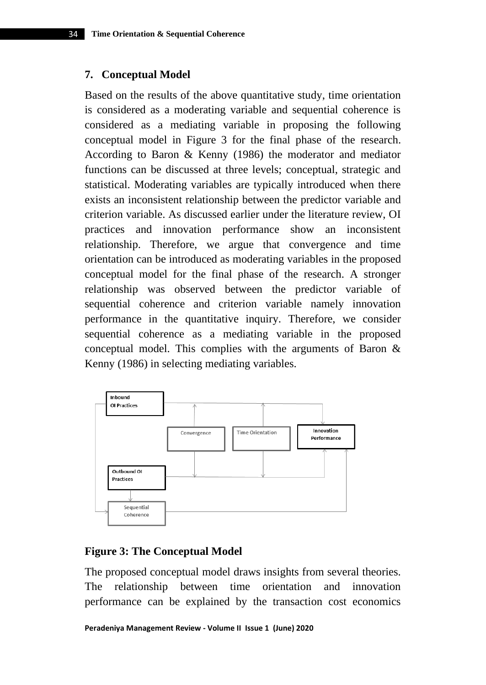### **7. Conceptual Model**

Based on the results of the above quantitative study, time orientation is considered as a moderating variable and sequential coherence is considered as a mediating variable in proposing the following conceptual model in Figure 3 for the final phase of the research. According to Baron & Kenny (1986) the moderator and mediator functions can be discussed at three levels; conceptual, strategic and statistical. Moderating variables are typically introduced when there exists an inconsistent relationship between the predictor variable and criterion variable. As discussed earlier under the literature review, OI practices and innovation performance show an inconsistent relationship. Therefore, we argue that convergence and time orientation can be introduced as moderating variables in the proposed conceptual model for the final phase of the research. A stronger relationship was observed between the predictor variable of sequential coherence and criterion variable namely innovation performance in the quantitative inquiry. Therefore, we consider sequential coherence as a mediating variable in the proposed conceptual model. This complies with the arguments of Baron & Kenny (1986) in selecting mediating variables.



# **Figure 3: The Conceptual Model**

The proposed conceptual model draws insights from several theories. The relationship between time orientation and innovation performance can be explained by the transaction cost economics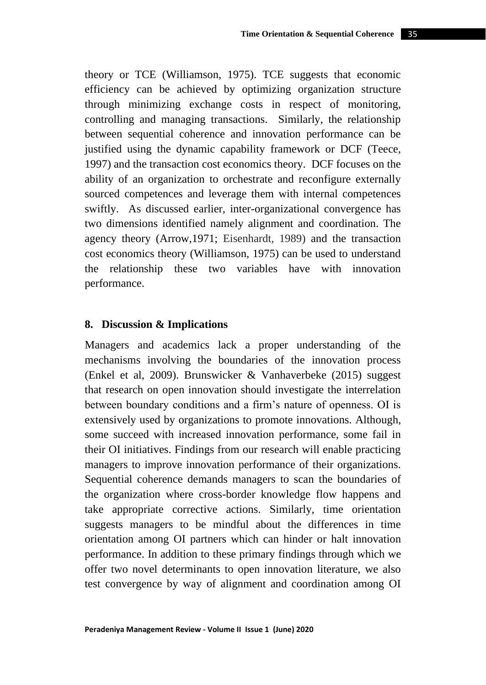theory or TCE (Williamson, 1975). TCE suggests that economic efficiency can be achieved by optimizing organization structure through minimizing exchange costs in respect of monitoring, controlling and managing transactions. Similarly, the relationship between sequential coherence and innovation performance can be justified using the dynamic capability framework or DCF (Teece, 1997) and the transaction cost economics theory. DCF focuses on the ability of an organization to orchestrate and reconfigure externally sourced competences and leverage them with internal competences swiftly. As discussed earlier, inter-organizational convergence has two dimensions identified namely alignment and coordination. The agency theory (Arrow,1971; Eisenhardt, 1989) and the transaction cost economics theory (Williamson, 1975) can be used to understand the relationship these two variables have with innovation performance.

#### **8. Discussion & Implications**

Managers and academics lack a proper understanding of the mechanisms involving the boundaries of the innovation process (Enkel et al, 2009). Brunswicker & Vanhaverbeke (2015) suggest that research on open innovation should investigate the interrelation between boundary conditions and a firm's nature of openness. OI is extensively used by organizations to promote innovations. Although, some succeed with increased innovation performance, some fail in their OI initiatives. Findings from our research will enable practicing managers to improve innovation performance of their organizations. Sequential coherence demands managers to scan the boundaries of the organization where cross-border knowledge flow happens and take appropriate corrective actions. Similarly, time orientation suggests managers to be mindful about the differences in time orientation among OI partners which can hinder or halt innovation performance. In addition to these primary findings through which we offer two novel determinants to open innovation literature, we also test convergence by way of alignment and coordination among OI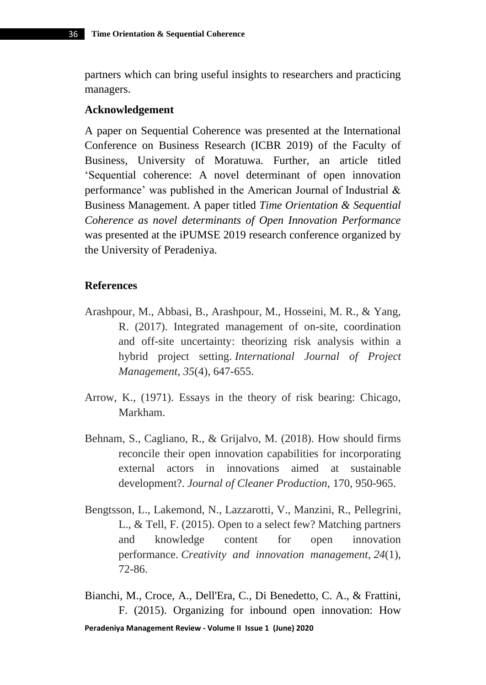partners which can bring useful insights to researchers and practicing managers.

### **Acknowledgement**

A paper on Sequential Coherence was presented at the International Conference on Business Research (ICBR 2019) of the Faculty of Business, University of Moratuwa. Further, an article titled 'Sequential coherence: A novel determinant of open innovation performance' was published in the American Journal of Industrial & Business Management. A paper titled *Time Orientation & Sequential Coherence as novel determinants of Open Innovation Performance* was presented at the iPUMSE 2019 research conference organized by the University of Peradeniya.

#### **References**

- Arashpour, M., Abbasi, B., Arashpour, M., Hosseini, M. R., & Yang, R. (2017). Integrated management of on-site, coordination and off-site uncertainty: theorizing risk analysis within a hybrid project setting. *International Journal of Project Management*, *35*(4), 647-655.
- Arrow, K., (1971). Essays in the theory of risk bearing: Chicago, Markham.
- Behnam, S., Cagliano, R., & Grijalvo, M. (2018). How should firms reconcile their open innovation capabilities for incorporating external actors in innovations aimed at sustainable development?. *Journal of Cleaner Production*, 170, 950-965.
- Bengtsson, L., Lakemond, N., Lazzarotti, V., Manzini, R., Pellegrini, L., & Tell, F. (2015). Open to a select few? Matching partners and knowledge content for open innovation performance. *Creativity and innovation management*, *24*(1), 72-86.

Bianchi, M., Croce, A., Dell'Era, C., Di Benedetto, C. A., & Frattini, F. (2015). Organizing for inbound open innovation: How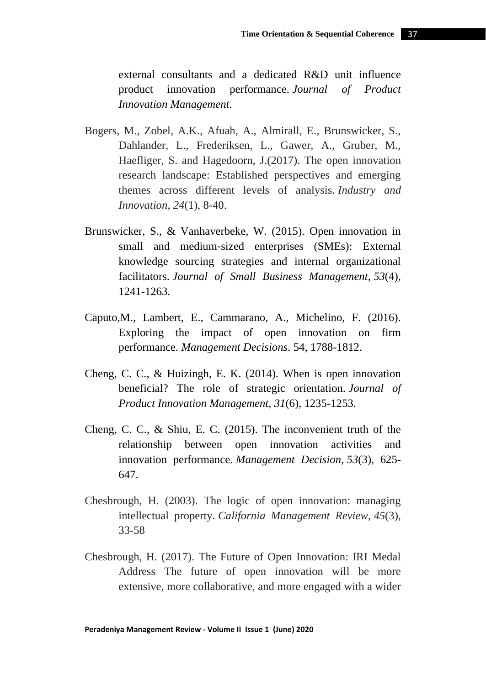external consultants and a dedicated R&D unit influence product innovation performance. *Journal of Product Innovation Management*.

- Bogers, M., Zobel, A.K., Afuah, A., Almirall, E., Brunswicker, S., Dahlander, L., Frederiksen, L., Gawer, A., Gruber, M., Haefliger, S. and Hagedoorn, J.(2017). The open innovation research landscape: Established perspectives and emerging themes across different levels of analysis. *Industry and Innovation*, *24*(1), 8-40.
- Brunswicker, S., & Vanhaverbeke, W. (2015). Open innovation in small and medium‐sized enterprises (SMEs): External knowledge sourcing strategies and internal organizational facilitators. *Journal of Small Business Management*, *53*(4), 1241-1263.
- Caputo,M., Lambert, E., Cammarano, A., Michelino, F. (2016). Exploring the impact of open innovation on firm performance. *Management Decisions*. 54, 1788-1812.
- Cheng, C. C., & Huizingh, E. K. (2014). When is open innovation beneficial? The role of strategic orientation. *Journal of Product Innovation Management*, *31*(6), 1235-1253.
- Cheng, C. C., & Shiu, E. C. (2015). The inconvenient truth of the relationship between open innovation activities and innovation performance. *Management Decision*, *53*(3), 625- 647.
- Chesbrough, H. (2003). The logic of open innovation: managing intellectual property. *California Management Review*, *45*(3), 33-58
- Chesbrough, H. (2017). The Future of Open Innovation: IRI Medal Address The future of open innovation will be more extensive, more collaborative, and more engaged with a wider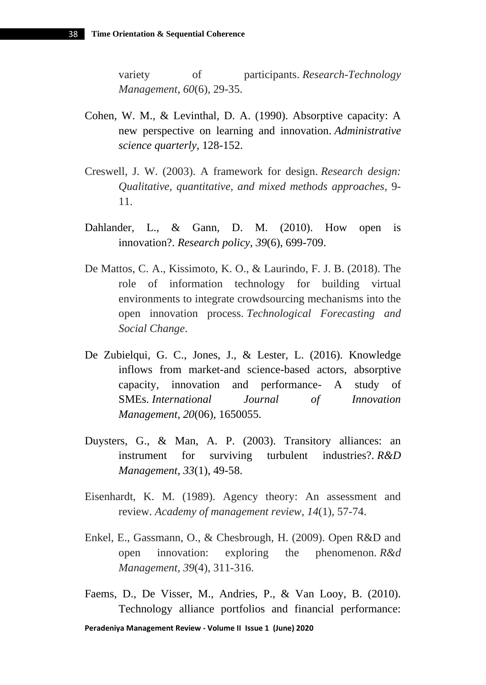variety of participants. *Research-Technology Management*, *60*(6), 29-35.

- Cohen, W. M., & Levinthal, D. A. (1990). Absorptive capacity: A new perspective on learning and innovation. *Administrative science quarterly*, 128-152.
- Creswell, J. W. (2003). A framework for design. *Research design: Qualitative, quantitative, and mixed methods approaches*, 9- 11.
- Dahlander, L., & Gann, D. M. (2010). How open is innovation?. *Research policy*, *39*(6), 699-709.
- De Mattos, C. A., Kissimoto, K. O., & Laurindo, F. J. B. (2018). The role of information technology for building virtual environments to integrate crowdsourcing mechanisms into the open innovation process. *Technological Forecasting and Social Change*.
- De Zubielqui, G. C., Jones, J., & Lester, L. (2016). Knowledge inflows from market-and science-based actors, absorptive capacity, innovation and performance- A study of SMEs. *International Journal of Innovation Management*, *20*(06), 1650055.
- Duysters, G., & Man, A. P. (2003). Transitory alliances: an instrument for surviving turbulent industries?. *R&D Management*, *33*(1), 49-58.
- Eisenhardt, K. M. (1989). Agency theory: An assessment and review. *Academy of management review*, *14*(1), 57-74.
- Enkel, E., Gassmann, O., & Chesbrough, H. (2009). Open R&D and open innovation: exploring the phenomenon. *R&d Management*, *39*(4), 311-316.
- Faems, D., De Visser, M., Andries, P., & Van Looy, B. (2010). Technology alliance portfolios and financial performance: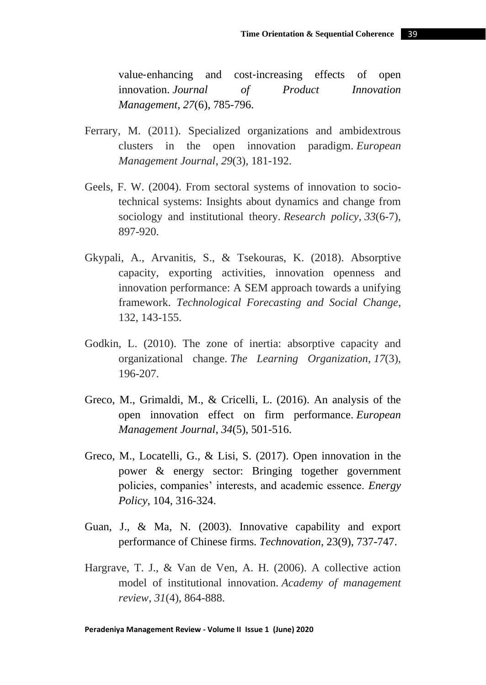value-enhancing and cost-increasing effects of open innovation. *Journal of Product Innovation Management*, *27*(6), 785-796.

- Ferrary, M. (2011). Specialized organizations and ambidextrous clusters in the open innovation paradigm. *European Management Journal*, *29*(3), 181-192.
- Geels, F. W. (2004). From sectoral systems of innovation to sociotechnical systems: Insights about dynamics and change from sociology and institutional theory. *Research policy*, *33*(6-7), 897-920.
- Gkypali, A., Arvanitis, S., & Tsekouras, K. (2018). Absorptive capacity, exporting activities, innovation openness and innovation performance: A SEM approach towards a unifying framework. *Technological Forecasting and Social Change*, 132, 143-155.
- Godkin, L. (2010). The zone of inertia: absorptive capacity and organizational change. *The Learning Organization*, *17*(3), 196-207.
- Greco, M., Grimaldi, M., & Cricelli, L. (2016). An analysis of the open innovation effect on firm performance. *European Management Journal*, *34*(5), 501-516.
- Greco, M., Locatelli, G., & Lisi, S. (2017). Open innovation in the power & energy sector: Bringing together government policies, companies' interests, and academic essence. *Energy Policy*, 104, 316-324.
- Guan, J., & Ma, N. (2003). Innovative capability and export performance of Chinese firms. *Technovation*, 23(9), 737-747.
- Hargrave, T. J., & Van de Ven, A. H. (2006). A collective action model of institutional innovation. *Academy of management review*, *31*(4), 864-888.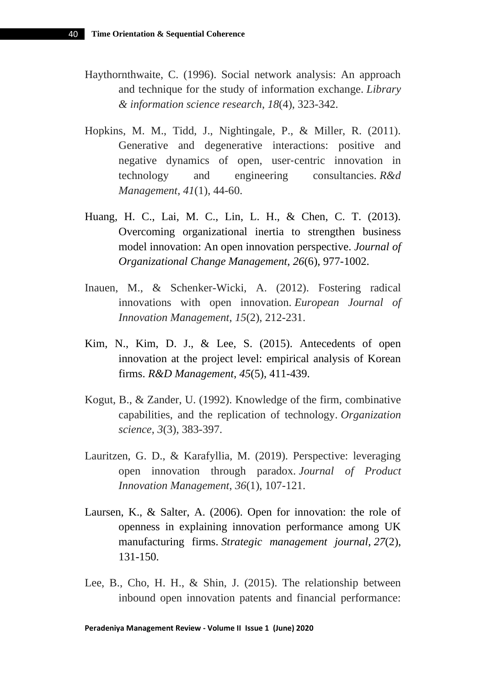- Haythornthwaite, C. (1996). Social network analysis: An approach and technique for the study of information exchange. *Library & information science research*, *18*(4), 323-342.
- Hopkins, M. M., Tidd, J., Nightingale, P., & Miller, R. (2011). Generative and degenerative interactions: positive and negative dynamics of open, user-centric innovation in technology and engineering consultancies. *R&d Management*, *41*(1), 44-60.
- Huang, H. C., Lai, M. C., Lin, L. H., & Chen, C. T. (2013). Overcoming organizational inertia to strengthen business model innovation: An open innovation perspective. *Journal of Organizational Change Management*, *26*(6), 977-1002.
- Inauen, M., & Schenker-Wicki, A. (2012). Fostering radical innovations with open innovation. *European Journal of Innovation Management*, *15*(2), 212-231.
- Kim, N., Kim, D. J., & Lee, S. (2015). Antecedents of open innovation at the project level: empirical analysis of Korean firms. *R&D Management*, *45*(5), 411-439.
- Kogut, B., & Zander, U. (1992). Knowledge of the firm, combinative capabilities, and the replication of technology. *Organization science*, *3*(3), 383-397.
- Lauritzen, G. D., & Karafyllia, M. (2019). Perspective: leveraging open innovation through paradox. *Journal of Product Innovation Management*, *36*(1), 107-121.
- Laursen, K., & Salter, A. (2006). Open for innovation: the role of openness in explaining innovation performance among UK manufacturing firms. *Strategic management journal*, *27*(2), 131-150.
- Lee, B., Cho, H. H., & Shin, J. (2015). The relationship between inbound open innovation patents and financial performance: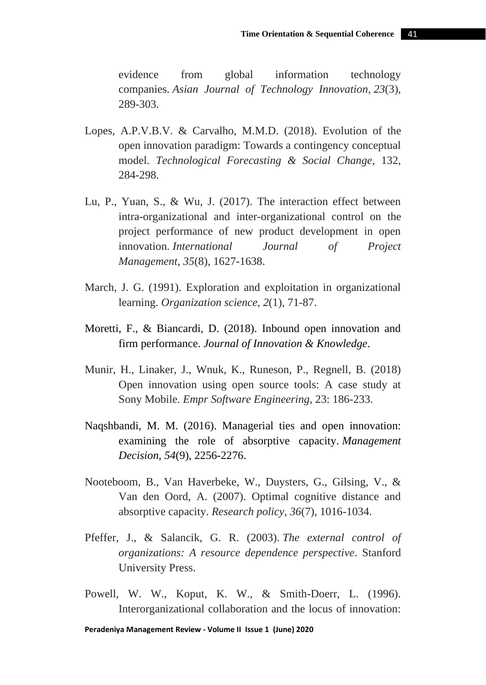evidence from global information technology companies. *Asian Journal of Technology Innovation*, *23*(3), 289-303.

- Lopes, A.P.V.B.V. & Carvalho, M.M.D. (2018). Evolution of the open innovation paradigm: Towards a contingency conceptual model. *Technological Forecasting & Social Change,* 132, 284-298.
- Lu, P., Yuan, S., & Wu, J. (2017). The interaction effect between intra-organizational and inter-organizational control on the project performance of new product development in open innovation. *International Journal of Project Management*, *35*(8), 1627-1638.
- March, J. G. (1991). Exploration and exploitation in organizational learning. *Organization science*, *2*(1), 71-87.
- Moretti, F., & Biancardi, D. (2018). Inbound open innovation and firm performance. *Journal of Innovation & Knowledge*.
- Munir, H., Linaker, J., Wnuk, K., Runeson, P., Regnell, B. (2018) Open innovation using open source tools: A case study at Sony Mobile. *Empr Software Engineering*, 23: 186-233.
- Naqshbandi, M. M. (2016). Managerial ties and open innovation: examining the role of absorptive capacity. *Management Decision*, *54*(9), 2256-2276.
- Nooteboom, B., Van Haverbeke, W., Duysters, G., Gilsing, V., & Van den Oord, A. (2007). Optimal cognitive distance and absorptive capacity. *Research policy*, *36*(7), 1016-1034.
- Pfeffer, J., & Salancik, G. R. (2003). *The external control of organizations: A resource dependence perspective*. Stanford University Press.
- Powell, W. W., Koput, K. W., & Smith-Doerr, L. (1996). Interorganizational collaboration and the locus of innovation: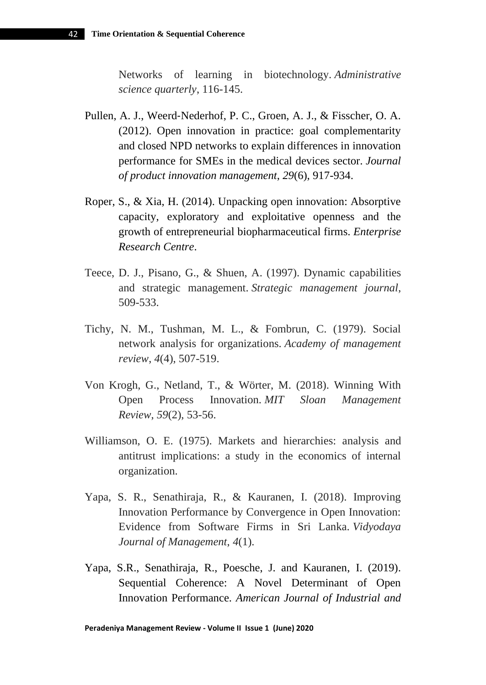Networks of learning in biotechnology. *Administrative science quarterly*, 116-145.

- Pullen, A. J., Weerd‐Nederhof, P. C., Groen, A. J., & Fisscher, O. A. (2012). Open innovation in practice: goal complementarity and closed NPD networks to explain differences in innovation performance for SMEs in the medical devices sector. *Journal of product innovation management*, *29*(6), 917-934.
- Roper, S., & Xia, H. (2014). Unpacking open innovation: Absorptive capacity, exploratory and exploitative openness and the growth of entrepreneurial biopharmaceutical firms. *Enterprise Research Centre*.
- Teece, D. J., Pisano, G., & Shuen, A. (1997). Dynamic capabilities and strategic management. *Strategic management journal*, 509-533.
- Tichy, N. M., Tushman, M. L., & Fombrun, C. (1979). Social network analysis for organizations. *Academy of management review*, *4*(4), 507-519.
- Von Krogh, G., Netland, T., & Wörter, M. (2018). Winning With Open Process Innovation. *MIT Sloan Management Review*, *59*(2), 53-56.
- Williamson, O. E. (1975). Markets and hierarchies: analysis and antitrust implications: a study in the economics of internal organization.
- Yapa, S. R., Senathiraja, R., & Kauranen, I. (2018). Improving Innovation Performance by Convergence in Open Innovation: Evidence from Software Firms in Sri Lanka. *Vidyodaya Journal of Management*, *4*(1).
- Yapa, S.R., Senathiraja, R., Poesche, J. and Kauranen, I. (2019). Sequential Coherence: A Novel Determinant of Open Innovation Performance. *American Journal of Industrial and*